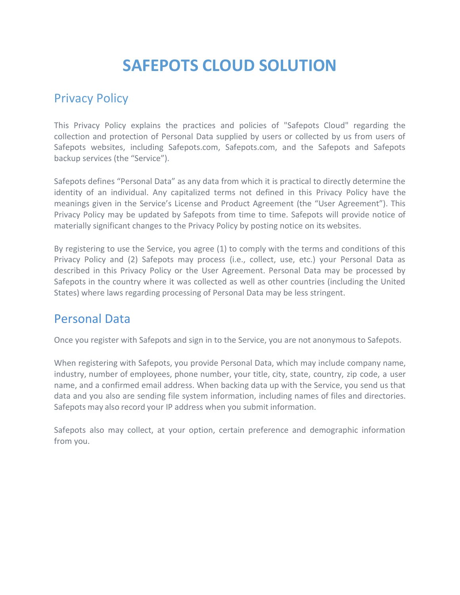# **SAFEPOTS CLOUD SOLUTION**

## Privacy Policy

This Privacy Policy explains the practices and policies of "Safepots Cloud" regarding the collection and protection of Personal Data supplied by users or collected by us from users of Safepots websites, including Safepots.com, Safepots.com, and the Safepots and Safepots backup services (the "Service").

Safepots defines "Personal Data" as any data from which it is practical to directly determine the identity of an individual. Any capitalized terms not defined in this Privacy Policy have the meanings given in the Service's License and Product Agreement (the "User Agreement"). This Privacy Policy may be updated by Safepots from time to time. Safepots will provide notice of materially significant changes to the Privacy Policy by posting notice on its websites.

By registering to use the Service, you agree (1) to comply with the terms and conditions of this Privacy Policy and (2) Safepots may process (i.e., collect, use, etc.) your Personal Data as described in this Privacy Policy or the User Agreement. Personal Data may be processed by Safepots in the country where it was collected as well as other countries (including the United States) where laws regarding processing of Personal Data may be less stringent.

## Personal Data

Once you register with Safepots and sign in to the Service, you are not anonymous to Safepots.

When registering with Safepots, you provide Personal Data, which may include company name, industry, number of employees, phone number, your title, city, state, country, zip code, a user name, and a confirmed email address. When backing data up with the Service, you send us that data and you also are sending file system information, including names of files and directories. Safepots may also record your IP address when you submit information.

Safepots also may collect, at your option, certain preference and demographic information from you.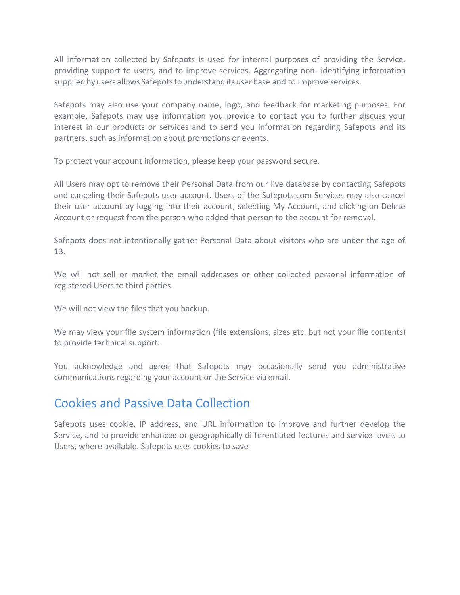All information collected by Safepots is used for internal purposes of providing the Service, providing support to users, and to improve services. Aggregating non- identifying information supplied by users allows Safepots to understand its user base and to improve services.

Safepots may also use your company name, logo, and feedback for marketing purposes. For example, Safepots may use information you provide to contact you to further discuss your interest in our products or services and to send you information regarding Safepots and its partners, such as information about promotions or events.

To protect your account information, please keep your password secure.

All Users may opt to remove their Personal Data from our live database by contacting Safepots and canceling their Safepots user account. Users of the Safepots.com Services may also cancel their user account by logging into their account, selecting My Account, and clicking on Delete Account or request from the person who added that person to the account for removal.

Safepots does not intentionally gather Personal Data about visitors who are under the age of 13.

We will not sell or market the email addresses or other collected personal information of registered Users to third parties.

We will not view the files that you backup.

We may view your file system information (file extensions, sizes etc. but not your file contents) to provide technical support.

You acknowledge and agree that Safepots may occasionally send you administrative communications regarding your account or the Service via email.

### Cookies and Passive Data Collection

Safepots uses cookie, IP address, and URL information to improve and further develop the Service, and to provide enhanced or geographically differentiated features and service levels to Users, where available. Safepots uses cookies to save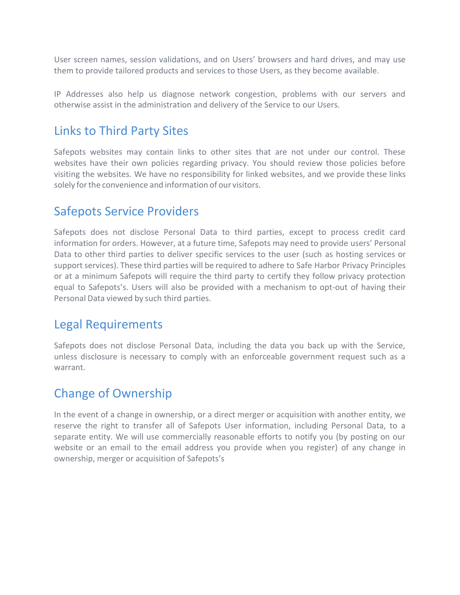User screen names, session validations, and on Users' browsers and hard drives, and may use them to provide tailored products and services to those Users, as they become available.

IP Addresses also help us diagnose network congestion, problems with our servers and otherwise assist in the administration and delivery of the Service to our Users.

#### Links to Third Party Sites

Safepots websites may contain links to other sites that are not under our control. These websites have their own policies regarding privacy. You should review those policies before visiting the websites. We have no responsibility for linked websites, and we provide these links solely for the convenience and information of our visitors.

#### Safepots Service Providers

Safepots does not disclose Personal Data to third parties, except to process credit card information for orders. However, at a future time, Safepots may need to provide users' Personal Data to other third parties to deliver specific services to the user (such as hosting services or support services). These third parties will be required to adhere to Safe Harbor Privacy Principles or at a minimum Safepots will require the third party to certify they follow privacy protection equal to Safepots's. Users will also be provided with a mechanism to opt-out of having their Personal Data viewed by such third parties.

#### Legal Requirements

Safepots does not disclose Personal Data, including the data you back up with the Service, unless disclosure is necessary to comply with an enforceable government request such as a warrant.

## Change of Ownership

In the event of a change in ownership, or a direct merger or acquisition with another entity, we reserve the right to transfer all of Safepots User information, including Personal Data, to a separate entity. We will use commercially reasonable efforts to notify you (by posting on our website or an email to the email address you provide when you register) of any change in ownership, merger or acquisition of Safepots's